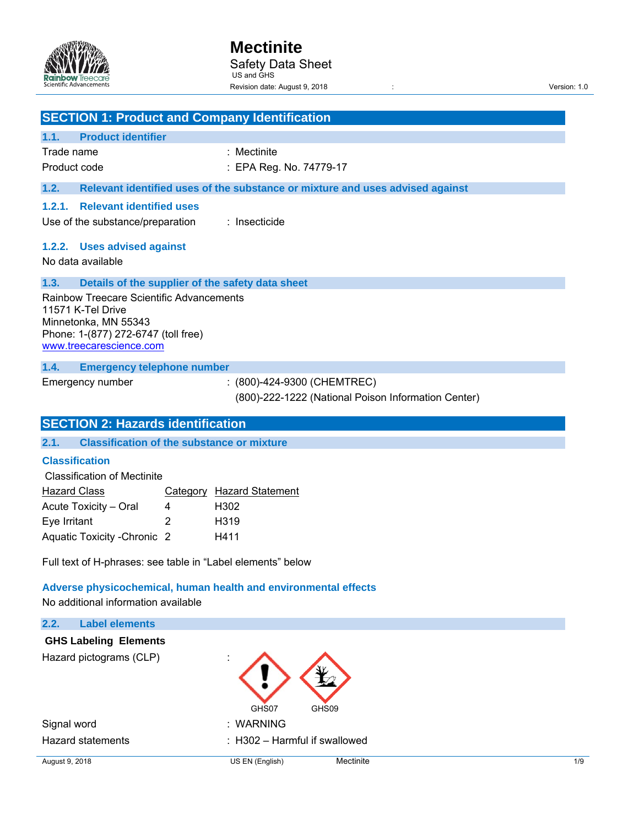

|                                                              |                                                                                                                                                         |        | <b>SECTION 1: Product and Company Identification</b>                               |
|--------------------------------------------------------------|---------------------------------------------------------------------------------------------------------------------------------------------------------|--------|------------------------------------------------------------------------------------|
| 1.1.                                                         | <b>Product identifier</b>                                                                                                                               |        |                                                                                    |
| Trade name                                                   |                                                                                                                                                         |        | : Mectinite                                                                        |
| Product code                                                 |                                                                                                                                                         |        | : EPA Reg. No. 74779-17                                                            |
| 1.2.                                                         |                                                                                                                                                         |        | Relevant identified uses of the substance or mixture and uses advised against      |
| 1.2.1.                                                       | <b>Relevant identified uses</b>                                                                                                                         |        |                                                                                    |
|                                                              | Use of the substance/preparation                                                                                                                        |        | : Insecticide                                                                      |
|                                                              | 1.2.2. Uses advised against                                                                                                                             |        |                                                                                    |
|                                                              | No data available                                                                                                                                       |        |                                                                                    |
| 1.3.                                                         |                                                                                                                                                         |        | Details of the supplier of the safety data sheet                                   |
|                                                              | Rainbow Treecare Scientific Advancements<br>11571 K-Tel Drive<br>Minnetonka, MN 55343<br>Phone: 1-(877) 272-6747 (toll free)<br>www.treecarescience.com |        |                                                                                    |
| 1.4.                                                         | <b>Emergency telephone number</b>                                                                                                                       |        |                                                                                    |
|                                                              | Emergency number                                                                                                                                        |        | : (800)-424-9300 (CHEMTREC)<br>(800)-222-1222 (National Poison Information Center) |
|                                                              | <b>SECTION 2: Hazards identification</b>                                                                                                                |        |                                                                                    |
|                                                              |                                                                                                                                                         |        |                                                                                    |
| 2.1.                                                         | <b>Classification of the substance or mixture</b>                                                                                                       |        |                                                                                    |
| <b>Classification</b><br><b>Hazard Class</b><br>Eye Irritant | <b>Classification of Mectinite</b><br>Acute Toxicity - Oral<br>Aquatic Toxicity - Chronic 2                                                             | 4<br>2 | Category Hazard Statement<br>H302<br>H319<br>H411                                  |
|                                                              |                                                                                                                                                         |        | Full text of H-phrases: see table in "Label elements" below                        |
|                                                              | No additional information available                                                                                                                     |        | Adverse physicochemical, human health and environmental effects                    |
|                                                              | <b>Label elements</b>                                                                                                                                   |        |                                                                                    |
| 2.2.                                                         | <b>GHS Labeling Elements</b>                                                                                                                            |        |                                                                                    |
|                                                              | Hazard pictograms (CLP)                                                                                                                                 |        | GHS07<br>GHS09                                                                     |
| Signal word                                                  |                                                                                                                                                         |        | : WARNING                                                                          |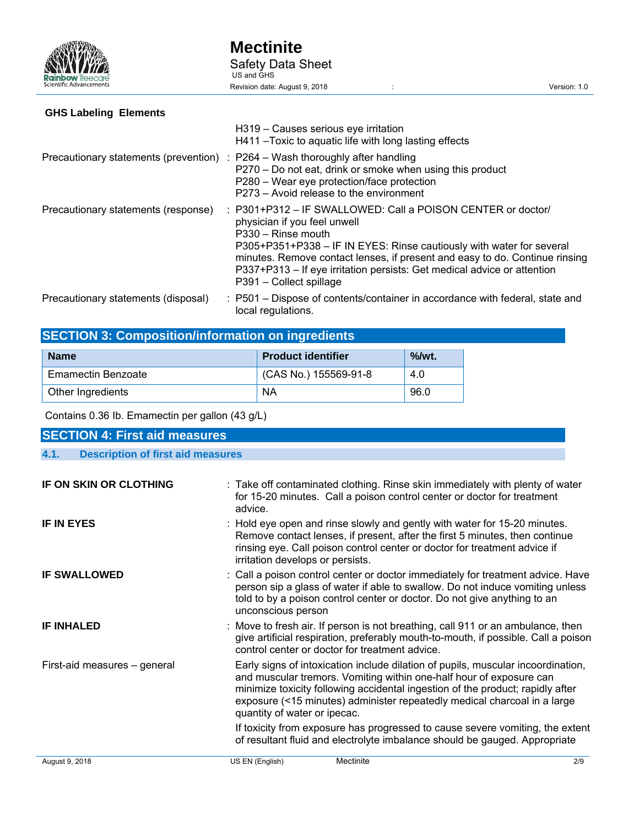

# **GHS Labeling Elements**

|                                     | H319 - Causes serious eye irritation<br>H411 - Toxic to aguatic life with long lasting effects                                                                                                                                                                                                                                                                                 |
|-------------------------------------|--------------------------------------------------------------------------------------------------------------------------------------------------------------------------------------------------------------------------------------------------------------------------------------------------------------------------------------------------------------------------------|
|                                     | Precautionary statements (prevention) : P264 – Wash thoroughly after handling<br>P270 – Do not eat, drink or smoke when using this product<br>P280 – Wear eye protection/face protection<br>P273 – Avoid release to the environment                                                                                                                                            |
| Precautionary statements (response) | : P301+P312 – IF SWALLOWED: Call a POISON CENTER or doctor/<br>physician if you feel unwell<br>P330 - Rinse mouth<br>P305+P351+P338 - IF IN EYES: Rinse cautiously with water for several<br>minutes. Remove contact lenses, if present and easy to do. Continue rinsing<br>P337+P313 – If eye irritation persists: Get medical advice or attention<br>P391 - Collect spillage |
| Precautionary statements (disposal) | : P501 – Dispose of contents/container in accordance with federal, state and<br>local regulations.                                                                                                                                                                                                                                                                             |

# **SECTION 3: Composition/information on ingredients**

| <b>Name</b>        | <b>Product identifier</b> | $%$ /wt. |
|--------------------|---------------------------|----------|
| Emamectin Benzoate | (CAS No.) 155569-91-8     | 4.0      |
| Other Ingredients  | <b>NA</b>                 | 96.0     |

Contains 0.36 Ib. Emamectin per gallon (43 g/L)

| <b>SECTION 4: First aid measures</b>             |                                                                                                                                                                                                                                                                                                                                                       |
|--------------------------------------------------|-------------------------------------------------------------------------------------------------------------------------------------------------------------------------------------------------------------------------------------------------------------------------------------------------------------------------------------------------------|
| <b>Description of first aid measures</b><br>4.1. |                                                                                                                                                                                                                                                                                                                                                       |
| IF ON SKIN OR CLOTHING                           | : Take off contaminated clothing. Rinse skin immediately with plenty of water<br>for 15-20 minutes. Call a poison control center or doctor for treatment<br>advice.                                                                                                                                                                                   |
| <b>IF IN EYES</b>                                | : Hold eye open and rinse slowly and gently with water for 15-20 minutes.<br>Remove contact lenses, if present, after the first 5 minutes, then continue<br>rinsing eye. Call poison control center or doctor for treatment advice if<br>irritation develops or persists.                                                                             |
| <b>IF SWALLOWED</b>                              | : Call a poison control center or doctor immediately for treatment advice. Have<br>person sip a glass of water if able to swallow. Do not induce vomiting unless<br>told to by a poison control center or doctor. Do not give anything to an<br>unconscious person                                                                                    |
| <b>IF INHALED</b>                                | : Move to fresh air. If person is not breathing, call 911 or an ambulance, then<br>give artificial respiration, preferably mouth-to-mouth, if possible. Call a poison<br>control center or doctor for treatment advice.                                                                                                                               |
| First-aid measures - general                     | Early signs of intoxication include dilation of pupils, muscular incoordination,<br>and muscular tremors. Vomiting within one-half hour of exposure can<br>minimize toxicity following accidental ingestion of the product; rapidly after<br>exposure (<15 minutes) administer repeatedly medical charcoal in a large<br>quantity of water or ipecac. |
|                                                  | If toxicity from exposure has progressed to cause severe vomiting, the extent<br>of resultant fluid and electrolyte imbalance should be gauged. Appropriate                                                                                                                                                                                           |
| August 9, 2018                                   | Mectinite<br>US EN (English)<br>2/9                                                                                                                                                                                                                                                                                                                   |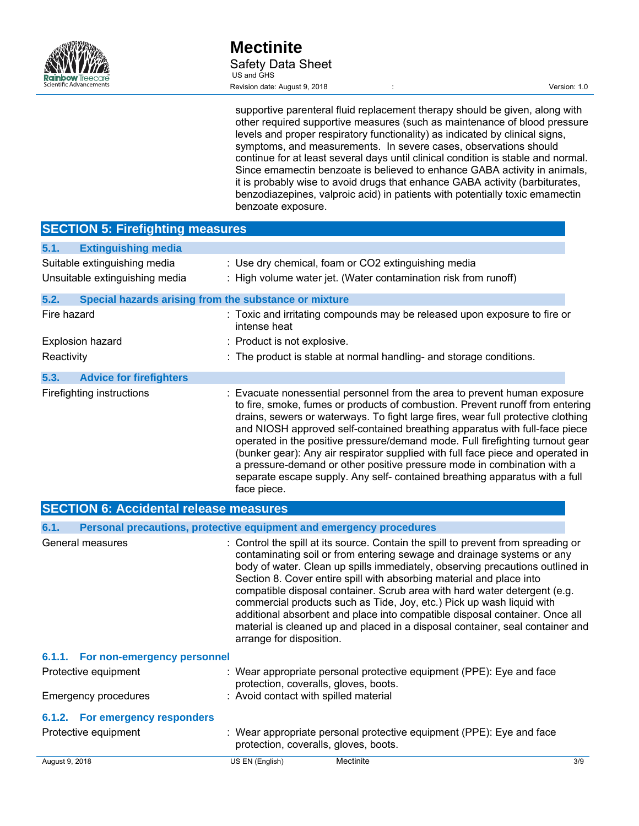

supportive parenteral fluid replacement therapy should be given, along with other required supportive measures (such as maintenance of blood pressure levels and proper respiratory functionality) as indicated by clinical signs, symptoms, and measurements. In severe cases, observations should continue for at least several days until clinical condition is stable and normal. Since emamectin benzoate is believed to enhance GABA activity in animals, it is probably wise to avoid drugs that enhance GABA activity (barbiturates, benzodiazepines, valproic acid) in patients with potentially toxic emamectin benzoate exposure.

| <b>SECTION 5: Firefighting measures</b>                        |                                                                                                                                                                                                                                                                                                                                                                                                                                                                                                                                                                                                                                                                           |
|----------------------------------------------------------------|---------------------------------------------------------------------------------------------------------------------------------------------------------------------------------------------------------------------------------------------------------------------------------------------------------------------------------------------------------------------------------------------------------------------------------------------------------------------------------------------------------------------------------------------------------------------------------------------------------------------------------------------------------------------------|
| <b>Extinguishing media</b><br>5.1.                             |                                                                                                                                                                                                                                                                                                                                                                                                                                                                                                                                                                                                                                                                           |
| Suitable extinguishing media<br>Unsuitable extinguishing media | : Use dry chemical, foam or CO2 extinguishing media<br>: High volume water jet. (Water contamination risk from runoff)                                                                                                                                                                                                                                                                                                                                                                                                                                                                                                                                                    |
| 5.2.<br>Special hazards arising from the substance or mixture  |                                                                                                                                                                                                                                                                                                                                                                                                                                                                                                                                                                                                                                                                           |
| Fire hazard                                                    | : Toxic and irritating compounds may be released upon exposure to fire or<br>intense heat                                                                                                                                                                                                                                                                                                                                                                                                                                                                                                                                                                                 |
| <b>Explosion hazard</b><br>Reactivity                          | : Product is not explosive.<br>: The product is stable at normal handling- and storage conditions.                                                                                                                                                                                                                                                                                                                                                                                                                                                                                                                                                                        |
| 5.3.<br><b>Advice for firefighters</b>                         |                                                                                                                                                                                                                                                                                                                                                                                                                                                                                                                                                                                                                                                                           |
| Firefighting instructions                                      | : Evacuate nonessential personnel from the area to prevent human exposure<br>to fire, smoke, fumes or products of combustion. Prevent runoff from entering<br>drains, sewers or waterways. To fight large fires, wear full protective clothing<br>and NIOSH approved self-contained breathing apparatus with full-face piece<br>operated in the positive pressure/demand mode. Full firefighting turnout gear<br>(bunker gear): Any air respirator supplied with full face piece and operated in<br>a pressure-demand or other positive pressure mode in combination with a<br>separate escape supply. Any self- contained breathing apparatus with a full<br>face piece. |
| <b>SECTION 6: Accidental release measures</b>                  |                                                                                                                                                                                                                                                                                                                                                                                                                                                                                                                                                                                                                                                                           |
| 6.1.                                                           | Personal precautions, protective equipment and emergency procedures                                                                                                                                                                                                                                                                                                                                                                                                                                                                                                                                                                                                       |
| General measures                                               | : Control the spill at its source. Contain the spill to prevent from spreading or<br>contaminating soil or from entering sewage and drainage systems or any<br>body of water. Clean up spills immediately, observing precautions outlined in<br>Section 8. Cover entire spill with absorbing material and place into<br>compatible disposal container. Scrub area with hard water detergent (e.g.<br>commercial products such as Tide, Joy, etc.) Pick up wash liquid with<br>additional absorbent and place into compatible disposal container. Once all<br>material is cleaned up and placed in a disposal container, seal container and<br>arrange for disposition.    |
| 6.1.1.<br>For non-emergency personnel                          |                                                                                                                                                                                                                                                                                                                                                                                                                                                                                                                                                                                                                                                                           |
| Protective equipment                                           | : Wear appropriate personal protective equipment (PPE): Eye and face<br>protection, coveralls, gloves, boots.                                                                                                                                                                                                                                                                                                                                                                                                                                                                                                                                                             |
| <b>Emergency procedures</b>                                    | : Avoid contact with spilled material                                                                                                                                                                                                                                                                                                                                                                                                                                                                                                                                                                                                                                     |
| 6.1.2. For emergency responders                                |                                                                                                                                                                                                                                                                                                                                                                                                                                                                                                                                                                                                                                                                           |
| Protective equipment                                           | : Wear appropriate personal protective equipment (PPE): Eye and face<br>protection, coveralls, gloves, boots.                                                                                                                                                                                                                                                                                                                                                                                                                                                                                                                                                             |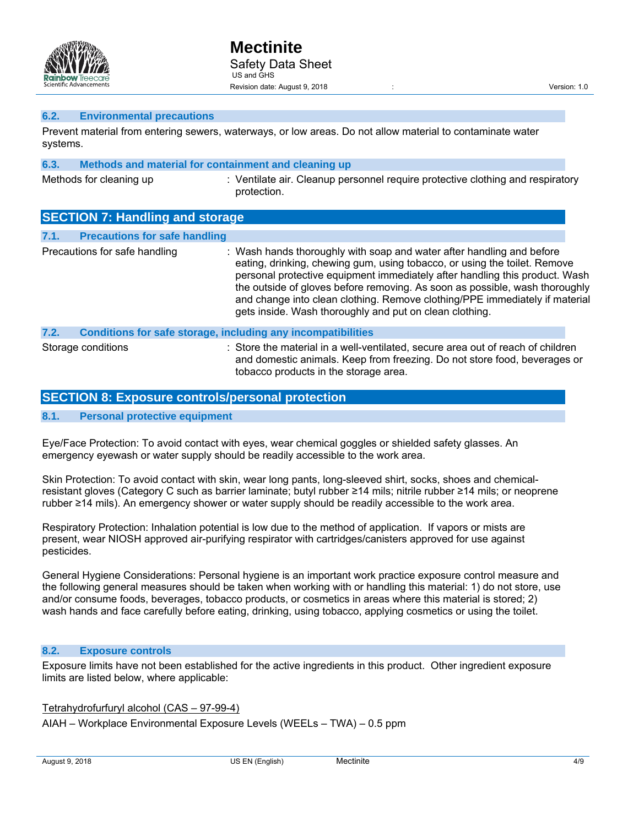

#### **6.2. Environmental precautions**

Prevent material from entering sewers, waterways, or low areas. Do not allow material to contaminate water systems.

| 6.3. |                                                                                                                                                                                                                                                                                                                                        | Methods and material for containment and cleaning up                                          |
|------|----------------------------------------------------------------------------------------------------------------------------------------------------------------------------------------------------------------------------------------------------------------------------------------------------------------------------------------|-----------------------------------------------------------------------------------------------|
|      | Methods for cleaning up                                                                                                                                                                                                                                                                                                                | : Ventilate air. Cleanup personnel require protective clothing and respiratory<br>protection. |
|      | $\overline{\mathbf{A}}$ $\mathbf{B}$ $\mathbf{A}$ $\mathbf{B}$ $\mathbf{B}$ $\mathbf{B}$ $\mathbf{B}$ $\mathbf{B}$ $\mathbf{B}$ $\mathbf{B}$ $\mathbf{B}$ $\mathbf{B}$ $\mathbf{B}$ $\mathbf{B}$ $\mathbf{B}$ $\mathbf{B}$ $\mathbf{B}$ $\mathbf{B}$ $\mathbf{B}$ $\mathbf{B}$ $\mathbf{B}$ $\mathbf{B}$ $\mathbf{B}$ $\mathbf{B}$ $\$ |                                                                                               |

|      | <b>SECTION 1: Handling and Storage</b> |                                                                                                                                                                                                                                                                                                                                                                                                                                                            |
|------|----------------------------------------|------------------------------------------------------------------------------------------------------------------------------------------------------------------------------------------------------------------------------------------------------------------------------------------------------------------------------------------------------------------------------------------------------------------------------------------------------------|
| 7.1. | <b>Precautions for safe handling</b>   |                                                                                                                                                                                                                                                                                                                                                                                                                                                            |
|      | Precautions for safe handling          | : Wash hands thoroughly with soap and water after handling and before<br>eating, drinking, chewing gum, using tobacco, or using the toilet. Remove<br>personal protective equipment immediately after handling this product. Wash<br>the outside of gloves before removing. As soon as possible, wash thoroughly<br>and change into clean clothing. Remove clothing/PPE immediately if material<br>gets inside. Wash thoroughly and put on clean clothing. |
| 7.2. |                                        | Conditions for safe storage, including any incompatibilities                                                                                                                                                                                                                                                                                                                                                                                               |
|      | Storage conditions                     | : Store the material in a well-ventilated, secure area out of reach of children<br>and domestic animals. Keep from freezing. Do not store food, beverages or<br>tobacco products in the storage area.                                                                                                                                                                                                                                                      |

# **SECTION 8: Exposure controls/personal protection**

#### **8.1. Personal protective equipment**

Eye/Face Protection: To avoid contact with eyes, wear chemical goggles or shielded safety glasses. An emergency eyewash or water supply should be readily accessible to the work area.

Skin Protection: To avoid contact with skin, wear long pants, long-sleeved shirt, socks, shoes and chemicalresistant gloves (Category C such as barrier laminate; butyl rubber ≥14 mils; nitrile rubber ≥14 mils; or neoprene rubber ≥14 mils). An emergency shower or water supply should be readily accessible to the work area.

Respiratory Protection: Inhalation potential is low due to the method of application. If vapors or mists are present, wear NIOSH approved air-purifying respirator with cartridges/canisters approved for use against pesticides.

General Hygiene Considerations: Personal hygiene is an important work practice exposure control measure and the following general measures should be taken when working with or handling this material: 1) do not store, use and/or consume foods, beverages, tobacco products, or cosmetics in areas where this material is stored; 2) wash hands and face carefully before eating, drinking, using tobacco, applying cosmetics or using the toilet.

#### **8.2. Exposure controls**

Exposure limits have not been established for the active ingredients in this product. Other ingredient exposure limits are listed below, where applicable:

Tetrahydrofurfuryl alcohol (CAS – 97-99-4) AIAH – Workplace Environmental Exposure Levels (WEELs – TWA) – 0.5 ppm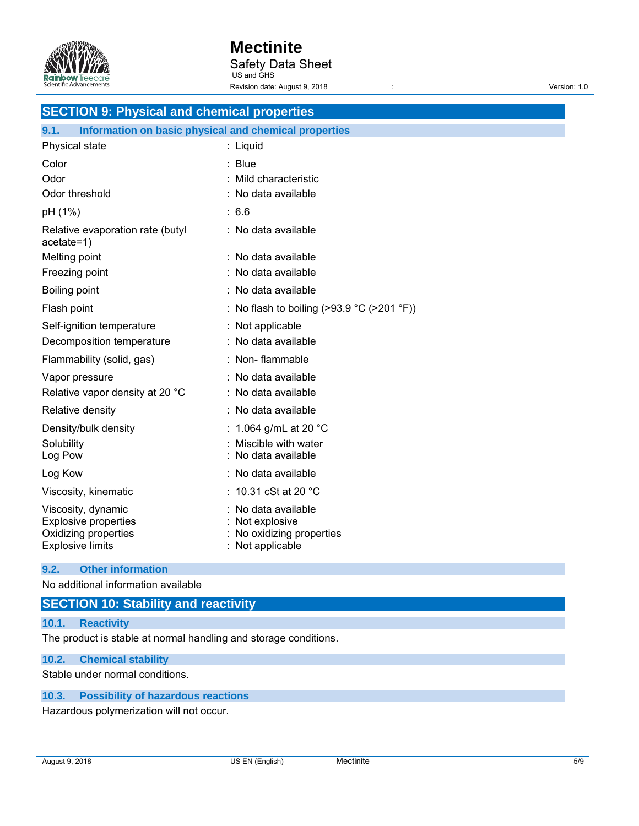

# **Mectinite**

Safety Data Sheet US and GHS

Revision date: August 9, 2018 <br>
and the contract of the contract of the Version: 1.0

| <b>SECTION 9: Physical and chemical properties</b>            |                                            |  |
|---------------------------------------------------------------|--------------------------------------------|--|
| Information on basic physical and chemical properties<br>9.1. |                                            |  |
| Physical state                                                | : Liquid                                   |  |
| Color                                                         | : Blue                                     |  |
| Odor                                                          | Mild characteristic                        |  |
| Odor threshold                                                | : No data available                        |  |
| pH (1%)                                                       | :6.6                                       |  |
| Relative evaporation rate (butyl<br>$acetate=1)$              | : No data available                        |  |
| Melting point                                                 | : No data available                        |  |
| Freezing point                                                | : No data available                        |  |
| Boiling point                                                 | : No data available                        |  |
| Flash point                                                   | : No flash to boiling (>93.9 °C (>201 °F)) |  |
| Self-ignition temperature                                     | : Not applicable                           |  |
| Decomposition temperature                                     | : No data available                        |  |
| Flammability (solid, gas)                                     | : Non-flammable                            |  |
| Vapor pressure                                                | : No data available                        |  |
| Relative vapor density at 20 °C                               | : No data available                        |  |
| Relative density                                              | : No data available                        |  |
| Density/bulk density                                          | 1.064 g/mL at 20 $^{\circ}$ C              |  |
| Solubility                                                    | Miscible with water                        |  |
| Log Pow                                                       | No data available                          |  |
| Log Kow                                                       | : No data available                        |  |
| Viscosity, kinematic                                          | : 10.31 cSt at 20 °C                       |  |
| Viscosity, dynamic                                            | No data available                          |  |
| <b>Explosive properties</b><br>Oxidizing properties           | Not explosive<br>No oxidizing properties   |  |
| <b>Explosive limits</b>                                       | Not applicable                             |  |

# **9.2. Other information**

No additional information available

# **SECTION 10: Stability and reactivity**

# **10.1. Reactivity**

The product is stable at normal handling and storage conditions.

#### **10.2. Chemical stability**

Stable under normal conditions.

# **10.3. Possibility of hazardous reactions**

Hazardous polymerization will not occur.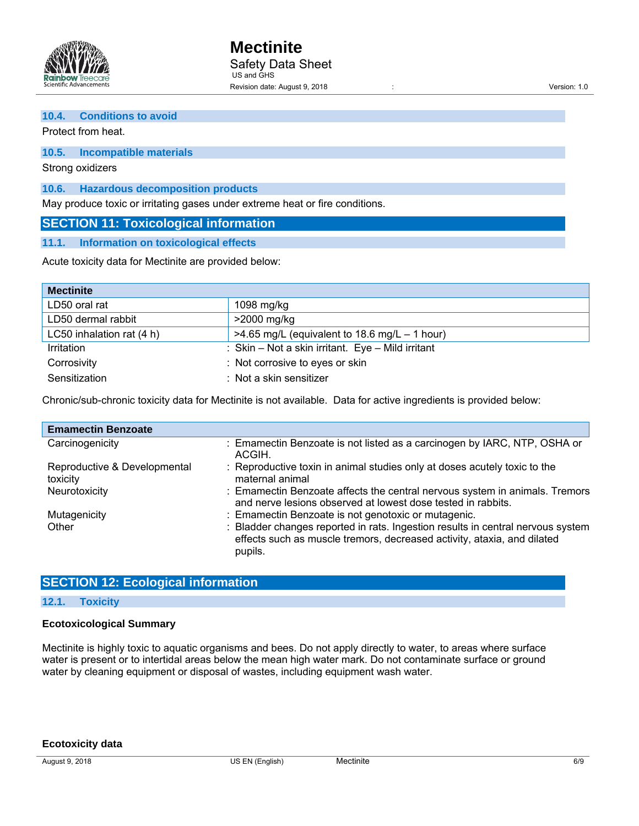

#### **10.4. Conditions to avoid**

Protect from heat.

# **10.5. Incompatible materials**

Strong oxidizers

**10.6. Hazardous decomposition products** 

May produce toxic or irritating gases under extreme heat or fire conditions.

# **SECTION 11: Toxicological information**

#### **11.1. Information on toxicological effects**

Acute toxicity data for Mectinite are provided below:

| <b>Mectinite</b>          |                                                   |  |
|---------------------------|---------------------------------------------------|--|
| LD50 oral rat             | 1098 mg/kg                                        |  |
| LD50 dermal rabbit        | $>2000$ mg/kg                                     |  |
| LC50 inhalation rat (4 h) | $>4.65$ mg/L (equivalent to 18.6 mg/L – 1 hour)   |  |
| Irritation                | : Skin - Not a skin irritant. Eye - Mild irritant |  |
| Corrosivity               | : Not corrosive to eyes or skin                   |  |
| Sensitization             | $:$ Not a skin sensitizer                         |  |

Chronic/sub-chronic toxicity data for Mectinite is not available. Data for active ingredients is provided below:

| <b>Emamectin Benzoate</b>                |                                                                                                                                                                       |
|------------------------------------------|-----------------------------------------------------------------------------------------------------------------------------------------------------------------------|
| Carcinogenicity                          | : Emamectin Benzoate is not listed as a carcinogen by IARC, NTP, OSHA or<br>ACGIH.                                                                                    |
| Reproductive & Developmental<br>toxicity | : Reproductive toxin in animal studies only at doses acutely toxic to the<br>maternal animal                                                                          |
| Neurotoxicity                            | : Emamectin Benzoate affects the central nervous system in animals. Tremors<br>and nerve lesions observed at lowest dose tested in rabbits.                           |
| Mutagenicity                             | : Emamectin Benzoate is not genotoxic or mutagenic.                                                                                                                   |
| Other                                    | : Bladder changes reported in rats. Ingestion results in central nervous system<br>effects such as muscle tremors, decreased activity, ataxia, and dilated<br>pupils. |

# **SECTION 12: Ecological information**

#### **12.1. Toxicity**

#### **Ecotoxicological Summary**

Mectinite is highly toxic to aquatic organisms and bees. Do not apply directly to water, to areas where surface water is present or to intertidal areas below the mean high water mark. Do not contaminate surface or ground water by cleaning equipment or disposal of wastes, including equipment wash water.

**Ecotoxicity data**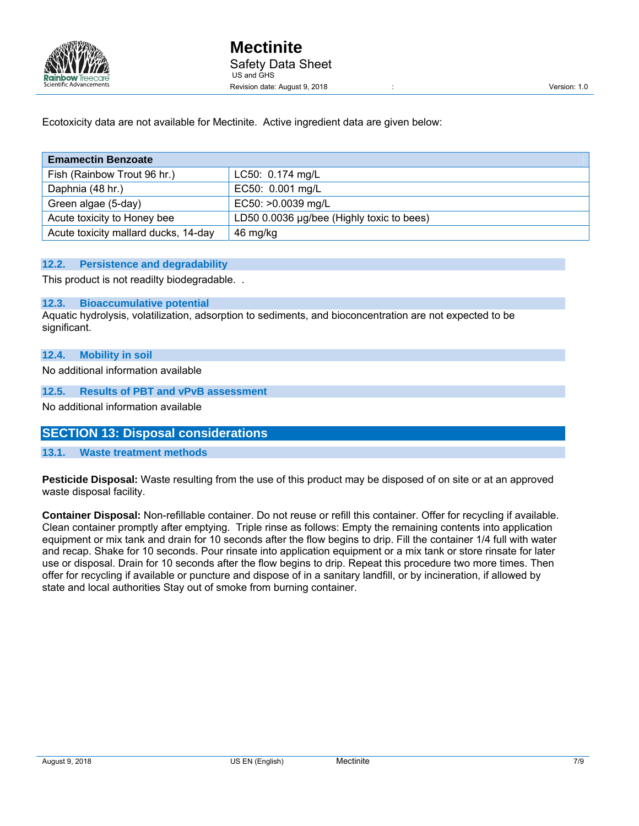

Ecotoxicity data are not available for Mectinite. Active ingredient data are given below:

| <b>Emamectin Benzoate</b>            |                                           |  |
|--------------------------------------|-------------------------------------------|--|
| Fish (Rainbow Trout 96 hr.)          | LC50: 0.174 mg/L                          |  |
| Daphnia (48 hr.)                     | EC50: 0.001 mg/L                          |  |
| Green algae (5-day)                  | EC50: >0.0039 mg/L                        |  |
| Acute toxicity to Honey bee          | LD50 0.0036 µg/bee (Highly toxic to bees) |  |
| Acute toxicity mallard ducks, 14-day | 46 mg/kg                                  |  |

#### **12.2. Persistence and degradability**

This product is not readilty biodegradable. .

#### **12.3. Bioaccumulative potential**

Aquatic hydrolysis, volatilization, adsorption to sediments, and bioconcentration are not expected to be significant.

#### **12.4. Mobility in soil**

No additional information available

#### **12.5. Results of PBT and vPvB assessment**

No additional information available

# **SECTION 13: Disposal considerations**

## **13.1. Waste treatment methods**

**Pesticide Disposal:** Waste resulting from the use of this product may be disposed of on site or at an approved waste disposal facility.

**Container Disposal:** Non-refillable container. Do not reuse or refill this container. Offer for recycling if available. Clean container promptly after emptying. Triple rinse as follows: Empty the remaining contents into application equipment or mix tank and drain for 10 seconds after the flow begins to drip. Fill the container 1/4 full with water and recap. Shake for 10 seconds. Pour rinsate into application equipment or a mix tank or store rinsate for later use or disposal. Drain for 10 seconds after the flow begins to drip. Repeat this procedure two more times. Then offer for recycling if available or puncture and dispose of in a sanitary landfill, or by incineration, if allowed by state and local authorities Stay out of smoke from burning container.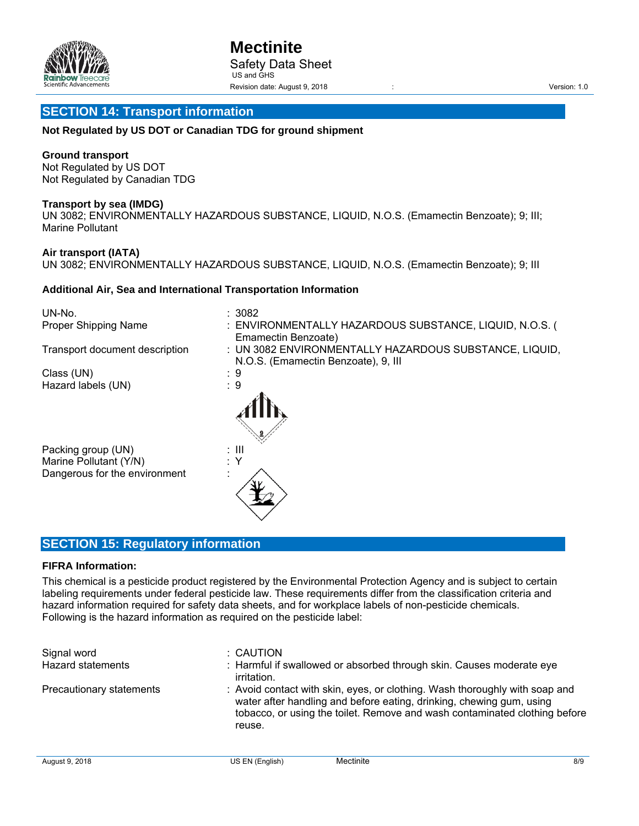

# **SECTION 14: Transport information**

#### **Not Regulated by US DOT or Canadian TDG for ground shipment**

#### **Ground transport**

Not Regulated by US DOT Not Regulated by Canadian TDG

#### **Transport by sea (IMDG)**

UN 3082; ENVIRONMENTALLY HAZARDOUS SUBSTANCE, LIQUID, N.O.S. (Emamectin Benzoate); 9; III; Marine Pollutant

#### **Air transport (IATA)**

UN 3082; ENVIRONMENTALLY HAZARDOUS SUBSTANCE, LIQUID, N.O.S. (Emamectin Benzoate); 9; III

#### **Additional Air, Sea and International Transportation Information**

| UN-No.                         | : 3082                                                                                        |
|--------------------------------|-----------------------------------------------------------------------------------------------|
| Proper Shipping Name           | : ENVIRONMENTALLY HAZARDOUS SUBSTANCE, LIQUID, N.O.S. (<br>Emamectin Benzoate)                |
| Transport document description | : UN 3082 ENVIRONMENTALLY HAZARDOUS SUBSTANCE, LIQUID,<br>N.O.S. (Emamectin Benzoate), 9, III |
| Class (UN)                     | : 9                                                                                           |
| Hazard labels (UN)             | : 9                                                                                           |
|                                |                                                                                               |
| Packing group (UN)             | : III                                                                                         |
| Marine Pollutant (Y/N)         |                                                                                               |
| Dangerous for the environment  |                                                                                               |

# **SECTION 15: Regulatory information**

#### **FIFRA Information:**

This chemical is a pesticide product registered by the Environmental Protection Agency and is subject to certain labeling requirements under federal pesticide law. These requirements differ from the classification criteria and hazard information required for safety data sheets, and for workplace labels of non-pesticide chemicals. Following is the hazard information as required on the pesticide label:

| Signal word<br>Hazard statements | : CAUTION<br>: Harmful if swallowed or absorbed through skin. Causes moderate eye<br>irritation.                                                                                                                                            |
|----------------------------------|---------------------------------------------------------------------------------------------------------------------------------------------------------------------------------------------------------------------------------------------|
| Precautionary statements         | : Avoid contact with skin, eyes, or clothing. Wash thoroughly with soap and<br>water after handling and before eating, drinking, chewing gum, using<br>tobacco, or using the toilet. Remove and wash contaminated clothing before<br>reuse. |